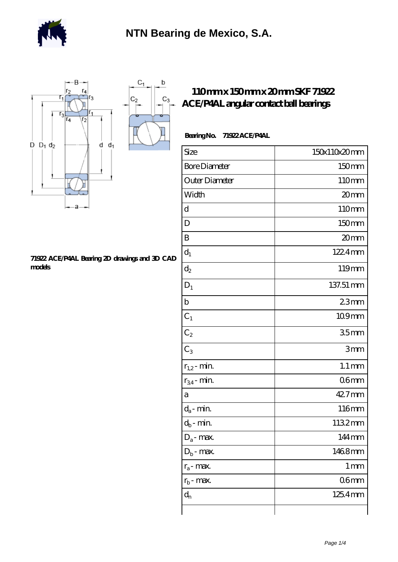

 $\mathrm{C}_1$ 

 $\mathsf b$ 

 $C_3$ 



## **[71922 ACE/P4AL Bearing 2D drawings and 3D CAD](https://m.berliner-freunde.org/pic-391289.html) [models](https://m.berliner-freunde.org/pic-391289.html)**

## **[110 mm x 150 mm x 20 mm SKF 71922](https://m.berliner-freunde.org/bj-391289-skf-71922-ace-p4al-angular-contact-ball-bearings.html) [ACE/P4AL angular contact ball bearings](https://m.berliner-freunde.org/bj-391289-skf-71922-ace-p4al-angular-contact-ball-bearings.html)**

| Bearing No. | <b>71922ACE/P4AL</b> |
|-------------|----------------------|
|-------------|----------------------|

| Size                 | 150x110x20mm        |
|----------------------|---------------------|
| <b>Bore Diameter</b> | 150mm               |
| Outer Diameter       | 110mm               |
| Width                | 20 <sub>mm</sub>    |
| d                    | 110mm               |
| D                    | 150mm               |
| B                    | 20mm                |
| $d_1$                | 1224mm              |
| $d_2$                | 119mm               |
| $D_1$                | 137.51 mm           |
| $\mathbf b$          | 23mm                |
| $C_1$                | 109mm               |
| $C_2$                | 35 <sub>mm</sub>    |
| $C_3$                | 3mm                 |
| $r_{1,2}$ - min.     | $1.1 \,\mathrm{mm}$ |
| $r_{34}$ - min.      | 06 <sub>mm</sub>    |
| a                    | 42.7mm              |
| $d_a$ - min.         | 116mm               |
| $d_b$ - min.         | 1132mm              |
| $D_a$ - max.         | 144mm               |
| $D_b$ - max.         | 1468mm              |
| $r_a$ - max.         | 1 <sub>mm</sub>     |
| $r_{b}$ - max.       | 06 <sub>mm</sub>    |
| $d_{n}$              | 125.4mm             |
|                      |                     |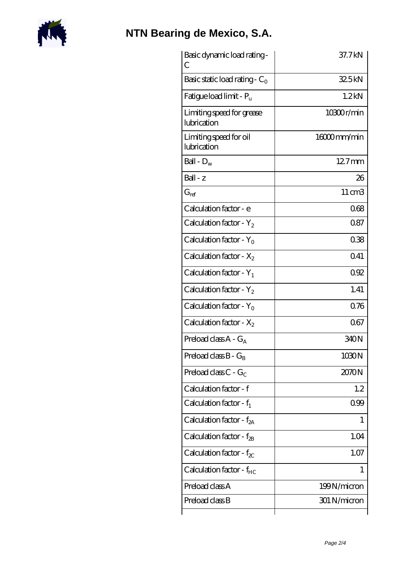

## **[NTN Bearing de Mexico, S.A.](https://m.berliner-freunde.org)**

| Basic dynamic load rating -<br>С         | 37.7kN            |
|------------------------------------------|-------------------|
| Basic static load rating - $C_0$         | 32.5kN            |
| Fatigue load limit - P <sub>u</sub>      | 1.2 <sub>kN</sub> |
| Limiting speed for grease<br>lubrication | 10300r/min        |
| Limiting speed for oil<br>lubrication    | 16000mm/min       |
| Ball - $D_w$                             | $127$ mm          |
| Ball - z                                 | 26                |
| $G_{ref}$                                | 11 cm3            |
| Calculation factor - e                   | 068               |
| Calculation factor - $Y_2$               | 0.87              |
| Calculation factor - $Y_0$               | 038               |
| Calculation factor - $X_2$               | Q41               |
| Calculation factor - $Y_1$               | 092               |
| Calculation factor - $Y_2$               | 1.41              |
| Calculation factor - $Y_0$               | 0.76              |
| Calculation factor - $X_2$               | 067               |
| Preload class A - G <sub>A</sub>         | 340N              |
| Preload class $B - G_B$                  | 1030N             |
| Preload class $C - G_C$                  | 2070N             |
| Calculation factor - f                   | 1.2               |
| Calculation factor - $f_1$               | 099               |
| Calculation factor - $f_{2A}$            | 1                 |
| Calculation factor - $f_{\rm 2B}$        | 1.04              |
| Calculation factor - $f_{\chi}$          | 1.07              |
| Calculation factor - f <sub>HC</sub>     | 1                 |
| Preload class A                          | 199N/micron       |
| Preload class B                          | 301 N/micron      |
|                                          |                   |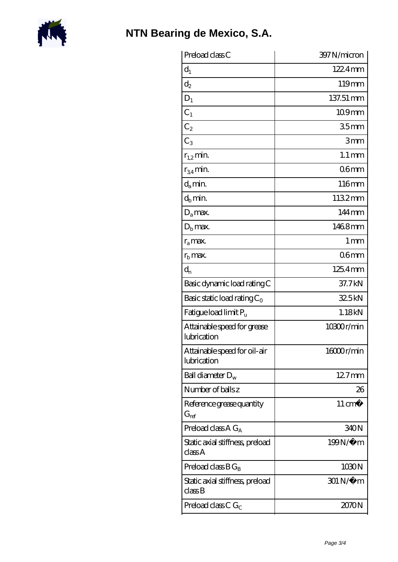

| Preload class C                                          | 397 N/micron        |
|----------------------------------------------------------|---------------------|
| $d_1$                                                    | $1224$ mm           |
| $\mathrm{d}_2$                                           | 119mm               |
| $D_1$                                                    | 137.51 mm           |
| $C_1$                                                    | 109mm               |
| $C_2$                                                    | 35 <sub>mm</sub>    |
| $C_3$                                                    | 3mm                 |
| $r_{1,2}$ min.                                           | $1.1 \,\mathrm{mm}$ |
| $r_{34}$ min.                                            | 06 <sub>mm</sub>    |
| $d_a$ min.                                               | 116mm               |
| $d_b$ min.                                               | 1132mm              |
| $D_a$ max.                                               | 144mm               |
| $D_{\rm b}$ max.                                         | 1468mm              |
| $r_a$ max.                                               | $1 \,\mathrm{mm}$   |
| $rb$ max.                                                | 06 <sub>mm</sub>    |
| $d_{n}$                                                  | 125.4mm             |
| Basic dynamic load rating C                              | 37.7kN              |
| Basic static load rating $C_0$                           | 325kN               |
| Fatigue load limit $P_u$                                 | 1.18kN              |
| Attainable speed for grease<br>lubrication               | 10300r/min          |
| Attainable speed for oil-air<br>lubrication              | 16000r/min          |
| Ball diameter $D_w$                                      | $127$ mm            |
| Number of balls z                                        | 26                  |
| Reference grease quantity<br>$\mathrm{G}_{\mathrm{ref}}$ | $11 \text{ cm}^3$   |
| Preload class $A G_A$                                    | 340N                |
| Static axial stiffness, preload<br>classA                | 199N/μ m            |
| Preload class $BG_B$                                     | 1030N               |
| Static axial stiffness, preload<br>classB                | 301 N/μ m           |
| Preload class C $G_C$                                    | 2070N               |
|                                                          |                     |